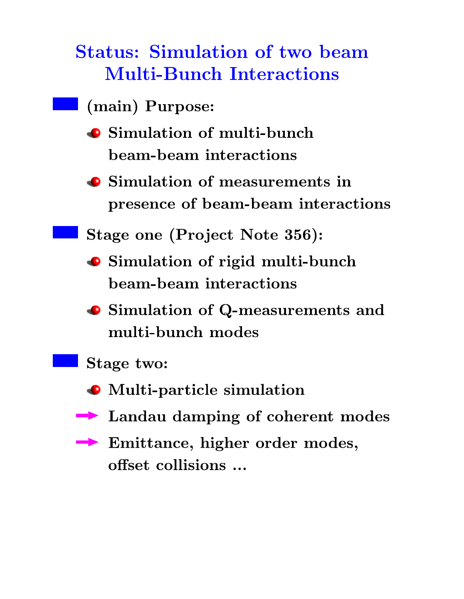**Status: Simulation of two beam Multi-Bunch Interactions** 

- (main) Purpose:
	- Simulation of multi-bunch beam-beam interactions
	- Simulation of measurements in presence of beam-beam interactions
	- Stage one (Project Note 356):
	- Simulation of rigid multi-bunch beam-beam interactions
	- Simulation of Q-measurements and multi-bunch modes
	- Stage two:
	- Multi-particle simulation
	- Landau damping of coherent modes
	- $\rightarrow$  Emittance, higher order modes, offset collisions ...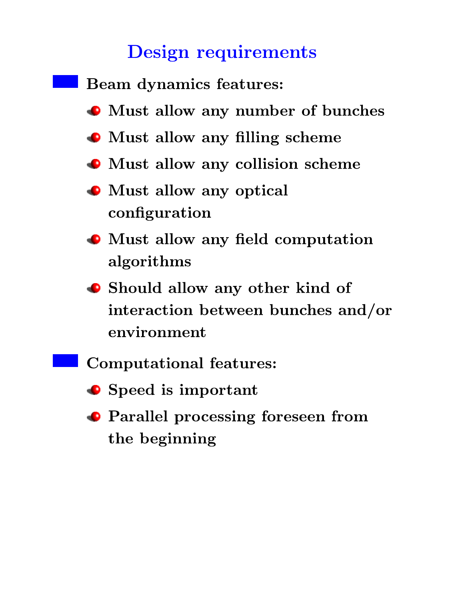## **Design requirements**



- Speed is important
- Parallel processing foreseen from the beginning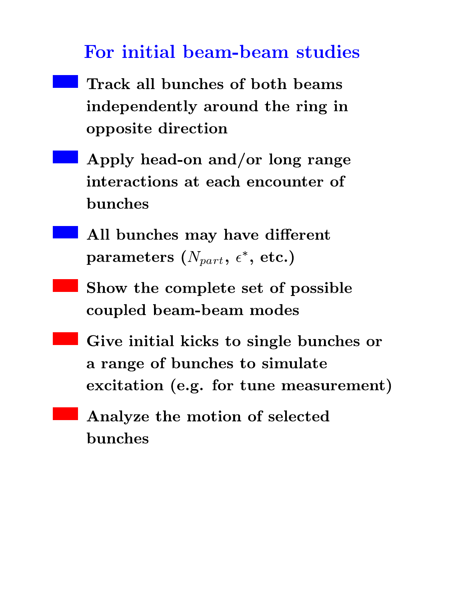## For initial beam-beam studies

- Track all bunches of both beams independently around the ring in opposite direction
- Apply head-on and/or long range interactions at each encounter of bunches
- All bunches may have different parameters  $(N_{part}, \epsilon^*,$  etc.)
- Show the complete set of possible coupled beam-beam modes
- Give initial kicks to single bunches or a range of bunches to simulate excitation (e.g. for tune measurement)
	- Analyze the motion of selected bunches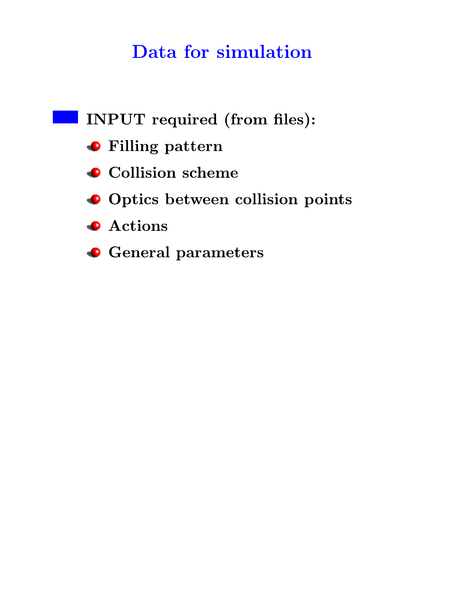## Data for simulation

INPUT required (from files): **•** Filling pattern • Collision scheme Optics between collision points **Actions C** General parameters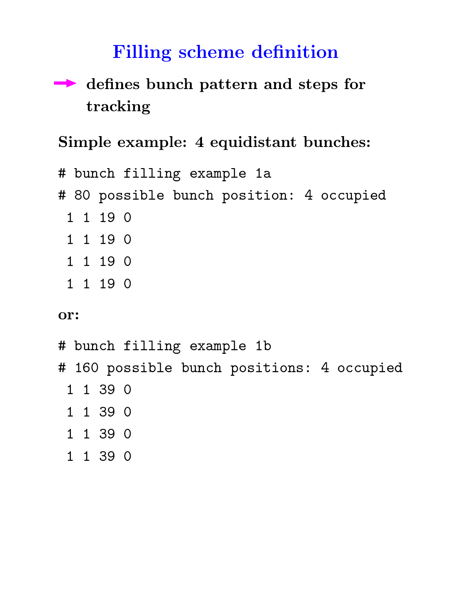## **Filling scheme definition**

#### defines bunch pattern and steps for  $\blacktriangleright$ tracking

#### Simple example: 4 equidistant bunches:

# bunch filling example 1a # 80 possible bunch position: 4 occupied 1 1 19 0 1 1 19 0 1 1 19 0

1 1 19 0

#### or:

# bunch filling example 1b # 160 possible bunch positions: 4 occupied 1 1 39 0 1 1 39 0 1 1 39 0

1 1 39 0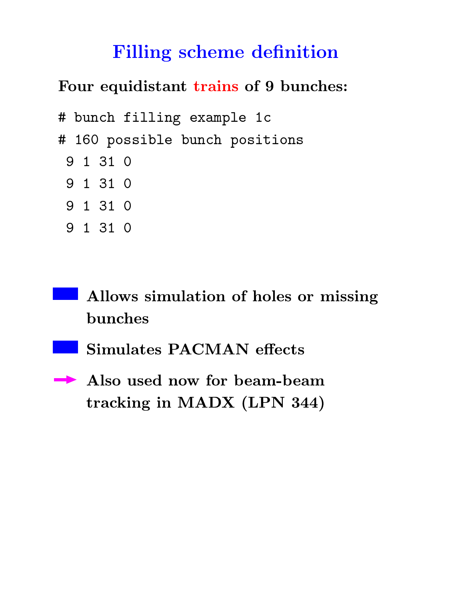## **Filling scheme definition**

Four equidistant trains of 9 bunches:

```
# bunch filling example 1c
# 160 possible bunch positions
 9 1 31 0
 9 1 31 0
 9 1 31 0
 9 1 31 0
```
Allows simulation of holes or missing bunches

Simulates PACMAN effects

Also used now for beam-beam tracking in MADX (LPN 344)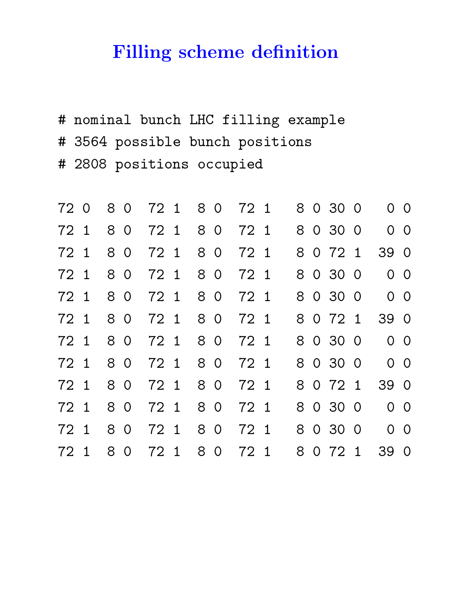## **Filling scheme definition**

# nominal bunch LHC filling example # 3564 possible bunch positions # 2808 positions occupied

|      |      |  |                   |  |                                 |  |  | 72 0 8 0 72 1 8 0 72 1 8 0 30 0 0 0  |  |
|------|------|--|-------------------|--|---------------------------------|--|--|--------------------------------------|--|
|      |      |  |                   |  |                                 |  |  | 72 1 8 0 72 1 8 0 72 1 8 0 30 0 0 0  |  |
|      | 72 1 |  |                   |  | 8 0 72 1 8 0 72 1 8 0 72 1      |  |  | 39 0                                 |  |
|      |      |  |                   |  |                                 |  |  | 72 1 8 0 72 1 8 0 72 1 8 0 30 0 0 0  |  |
|      |      |  |                   |  |                                 |  |  | 72 1 8 0 72 1 8 0 72 1 8 0 30 0 0 0  |  |
|      |      |  |                   |  |                                 |  |  | 72 1 8 0 72 1 8 0 72 1 8 0 72 1 39 0 |  |
|      |      |  |                   |  |                                 |  |  | 72 1 8 0 72 1 8 0 72 1 8 0 30 0 0 0  |  |
|      |      |  | 72 1 8 0 72 1 8 0 |  |                                 |  |  | 72 1 8 0 30 0 0 0                    |  |
|      |      |  |                   |  | 72 1 8 0 72 1 8 0 72 1 8 0 72 1 |  |  | 39 0                                 |  |
|      |      |  |                   |  |                                 |  |  | 72 1 8 0 72 1 8 0 72 1 8 0 30 0 0 0  |  |
|      |      |  |                   |  |                                 |  |  | 72 1 8 0 72 1 8 0 72 1 8 0 30 0 0 0  |  |
| 72 1 |      |  | 8 0 72 1          |  | 8 0 72 1 8 0 72 1               |  |  | 39 0                                 |  |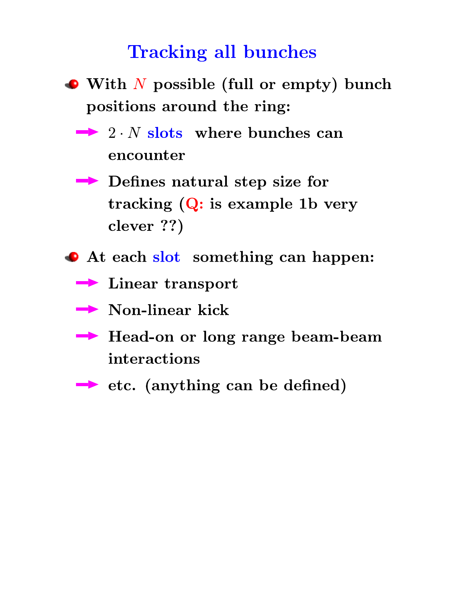### **Tracking all bunches**

- $\bullet$  With N possible (full or empty) bunch positions around the ring:
	- $\rightarrow$  2. *N* slots where bunches can encounter
	- Defines natural step size for tracking  $(Q:$  is example 1b very clever ??)
- At each slot something can happen:
	- $\rightarrow$  Linear transport
	- $\rightarrow$  Non-linear kick
	- Branches Head-on or long range beam-beam interactions
	- → etc. (anything can be defined)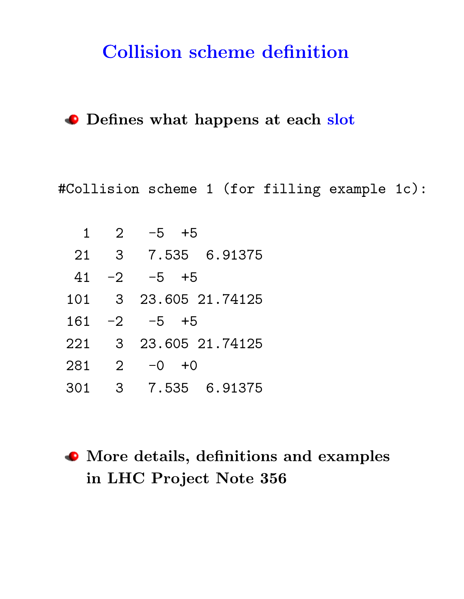## **Collision scheme definition**

O Defines what happens at each slot

#Collision scheme 1 (for filling example 1c):

| $\mathbf 1$ | $\overline{2}$ | $-5 + 5$          |
|-------------|----------------|-------------------|
| 21          | $\mathbf{3}$   | 7.535 6.91375     |
| 41          | $-2$           | $-5 + 5$          |
| 101         |                | 3 23.605 21.74125 |
| 161         | $-2$           | $-5 + 5$          |
| 221         | -3             | 23.605 21.74125   |
| 281         | $\overline{2}$ | $-0 + 0$          |
| 301         | 3              | 7.535 6.91375     |

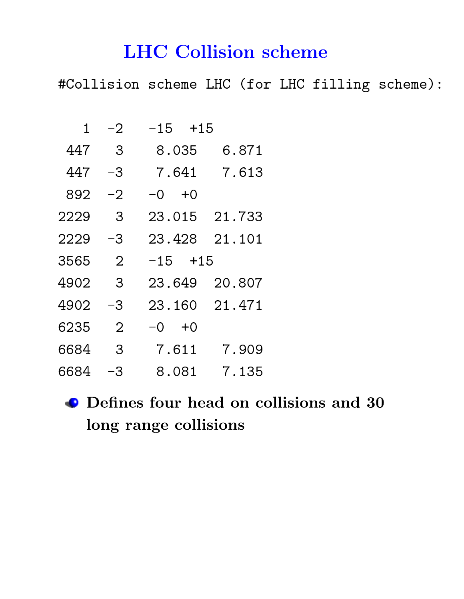## **LHC Collision scheme**

#Collision scheme LHC (for LHC filling scheme):

| $\mathbf{1}$ | $-2$                       | $-15$ $+15$    |
|--------------|----------------------------|----------------|
| 447          | - 3                        | 8.035<br>6.871 |
| 447          | -3                         | 7.613<br>7.641 |
| 892          | $-2$                       | $-0 + 0$       |
| 2229         | $\overline{\phantom{a}}$ 3 | 23.015 21.733  |
| 2229         | -3                         | 23.428 21.101  |
| 3565         | $\overline{2}$             | $-15$ $+15$    |
| 4902         | $\overline{\mathbf{3}}$    | 23.649 20.807  |
| 4902         | -3                         | 23.160 21.471  |
| 6235         | $\overline{2}$             | $-0 + 0$       |
| 6684         | $\overline{\mathbf{3}}$    | 7.909<br>7.611 |
| 6684         | $-3$                       | 8.081<br>7.135 |

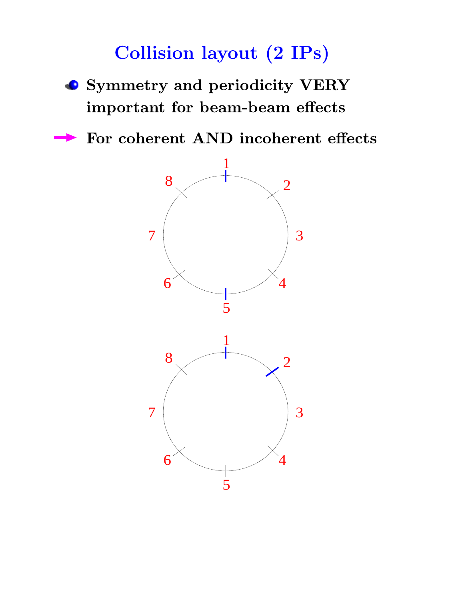# **Collision layout (2 IPs)**

- Symmetry and periodicity VERY important for beam-beam effects
- For coherent AND incoherent effects

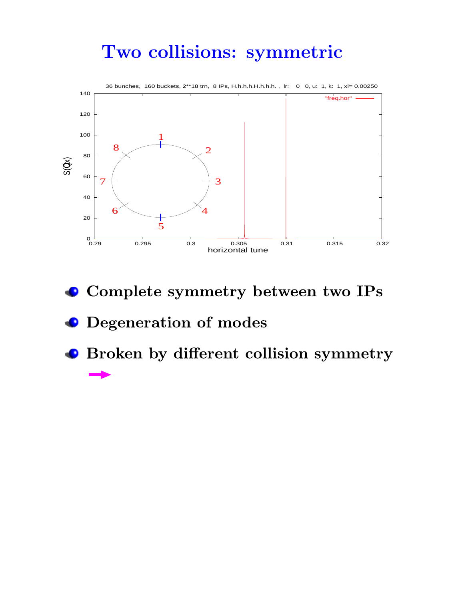## Two collisions: symmetric



- $\bullet$  Complete symmetry between two IPs
- Degeneration of modes
- Broken by different collision symmetry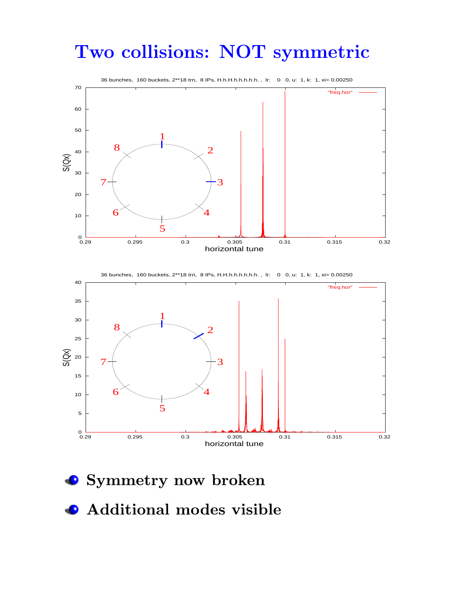## Two collisions: NOT symmetric



- Symmetry now broken
- **Additional modes visible**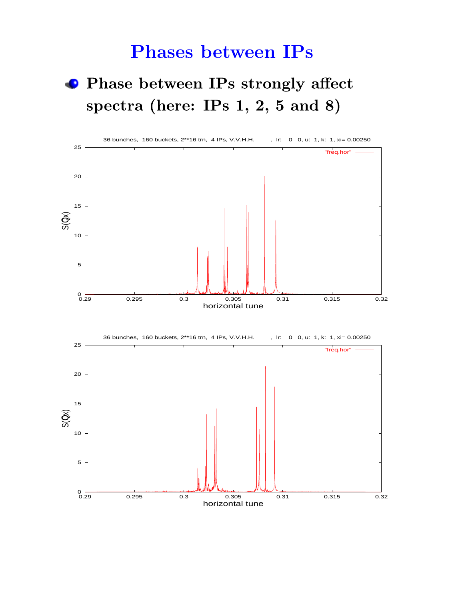## **Phases between IPs**

## **• Phase between IPs strongly affect** spectra (here: IPs  $1, 2, 5$  and  $8)$





horizontal tune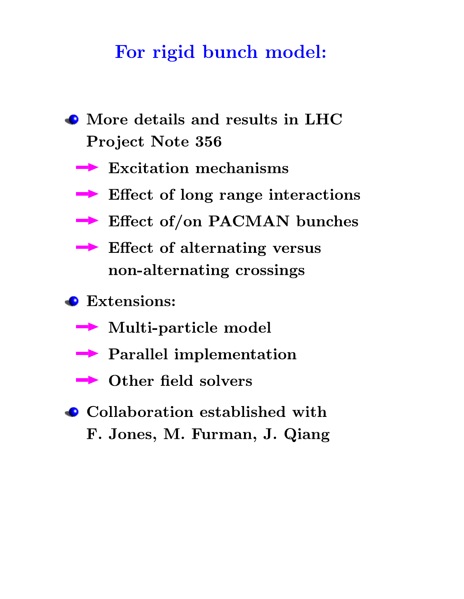## For rigid bunch model:

- More details and results in LHC Project Note 356
	- $\blacktriangleright$  Excitation mechanisms
	- $\rightarrow$  Effect of long range interactions
	- Effect of/on PACMAN bunches
	- $\blacktriangleright$  Effect of alternating versus non-alternating crossings
- Extensions:
	- Multi-particle model
	- $\rightarrow$  Parallel implementation
	- $\rightarrow$  Other field solvers
- Collaboration established with F. Jones, M. Furman, J. Qiang